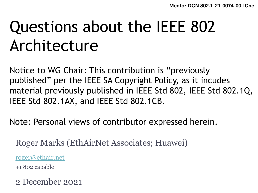**Mentor DCN 802.1-21** 

# Questions about the IEEE 802 Architecture

N[otice to WG C](mailto:roger@ethair.net)hair: This contribution is "previously published" per the IEEE SA Copyright Policy, as it incude material previously published in IEEE Std 802, IEEE Std IEEE Std 802.1AX, and IEEE Std 802.1CB.

Note: Personal views of contributor expressed herein.

Roger Marks (EthAirNet Associates; Huawei)

roger@ethair.net

+1 802 capable

2 December 2021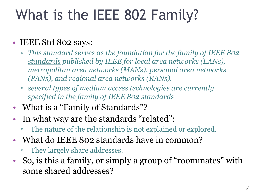## What is the IEEE 802 Family?

### • IEEE Std 802 says:

- *This standard serves as the foundation for the family of IEEE 802 standards published by IEEE for local area networks (LANs), metropolitan area networks (MANs), personal area networks (PANs), and regional area networks (RANs).*
- *several types of medium access technologies are currently specified in the family of IEEE 802 standards*
- What is a "Family of Standards"?
- In what way are the standards "related":
	- The nature of the relationship is not explained or explored.
- What do IEEE 802 standards have in common?
	- They largely share addresses.
- So, is this a family, or simply a group of "roommates" with some shared addresses?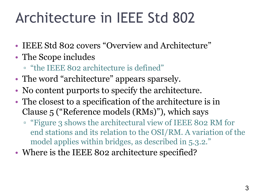## Architecture in IEEE Std 802

- IEEE Std 802 covers "Overview and Architecture"
- The Scope includes
	- "the IEEE 802 architecture is defined"
- The word "architecture" appears sparsely.
- No content purports to specify the architecture.
- The closest to a specification of the architecture is in Clause 5 ("Reference models (RMs)"), which says
	- "Figure 3 shows the architectural view of IEEE 802 RM for end stations and its relation to the OSI/RM. A variation of the model applies within bridges, as described in 5.3.2."
- Where is the IEEE 802 architecture specified?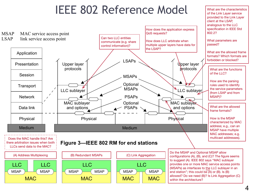#### IEEE 802 Reference Model Matarett **SIGREE OSTIMILAR TO THE ORIGINAL IN THE OSIGN IN THE CONSUMING ADDENT OF ITS SET ITS SET IN THE CONSUMING APPER** architectural view of IEEE 802 RM for end stations and its relations and its relation to the model of the model of the model of the model of the model of the model of the model of the model of the model of the model of the



<u>what are the characteristics</u><br>What are the characteristics

of the Link Layer service provided to the Link Layer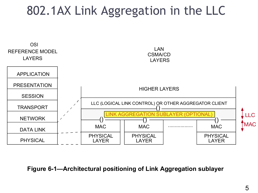### 802.1AX Link Aggregation in the LLC



#### **Figure 6-1—Architectural positioning of Link Aggregation sublayer**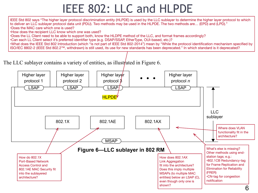### IEEE 802: LLC and HLPDE

IEEE Std 802 says "The higher layer protocol discrimination entity (HLPDE) is used by the LLC sublayer to determine the higher layer protocol to which to deliver an LLC sublayer protocol data unit (PDU). Two methods may be used in the HLPDE. The two methods are… (EPD) and (LPD)." •Does the MAC care which one is used?

•How does the recipient LLC know which one was used?

•Does the LL Client need to be able to support both, know the HLDPE method of the LLC, and format frames accordingly?

•Can each LL Client select it's preferred identifier type (e.g. DSAP/SSAP, EtherType, OUI-based, etc.)?

•What does the IEEE Std 802 Introduction (which "is not part of IEEE Std 802-2014") mean by "While the protocol identification mechanism specified by ISO/IEC 8802-2 (IEEE Std 802.2™, withdrawn) is still used, its use for new standards has been deprecated." In which standard is it deprecated?

The LLC sublayer contains a variety of entities, as illustrated in Figure 6.

![](_page_5_Figure_7.jpeg)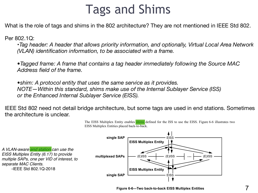### <sup>7</sup> Tags and Shims

What is the role of tags and shims in the 802 architecture? They are not mentioned in IEEE Std 802.

Per 802.1Q:

•*Tag header: A header that allows priority information, and optionally, Virtual Local Area Network (VLAN) identification information, to be associated with a frame.*

*•Tagged frame: A frame that contains a tag header immediately following the Source MAC Address field of the frame.*

*•shim: A protocol entity that uses the same service as it provides. NOTE—Within this standard, shims make use of the Internal Sublayer Service (ISS) or the Enhanced Internal Sublayer Service (EISS).*

IEEE Std 802 need not detail bridge architecture, but some tags are used in end stations. Sometimes the architecture is unclear.

![](_page_6_Figure_7.jpeg)

The EISS Multiplex Entity enables shims defined for the ISS to use the EISS. Figure 6-6 illustrates two EISS Multiplex Entities placed back-to-back.

**Figure 6-6-Two back-to-back EISS Multiplex Entities**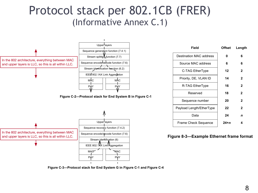#### Protocol stack per 802.1CB (FRER) (Informative Annex C.1) rmative  $\sum_{i=1}^n$

![](_page_7_Figure_1.jpeg)

| Field                    | <b>Offset</b> | Length |
|--------------------------|---------------|--------|
| Destination MAC address  | 0             | 6      |
| Source MAC address       | 6             | 6      |
| C-TAG EtherType          | 12            | 2      |
| Priority, DE, VLAN ID    | 14            | 2      |
| R-TAG EtherType          | 16            | 2      |
| Reserved                 | 18            | 2      |
| Sequence number          | 20            | 2      |
| Payload Length/EtherType | 22            | 2      |
| Data                     | 24            | n      |
| Frame Check Sequence     | 24+n          | 4      |

**Figure 8-3—Example Ethernet frame format**

 $A = \begin{bmatrix} 1, & \cdots, 0, 1, & \cdots, 0, 1, & \cdots, 0, 1, & \cdots, 0, 1, & \cdots, 0, 1, & \cdots, 0, 1, & \cdots, 0, 1, & \cdots, 0, 1, & \cdots, 0, 1, & \cdots, 0, 1, & \cdots, 0, 1, & \cdots, 0, 1, & \cdots, 0, 1, & \cdots, 0, 1, & \cdots, 0, 1, & \cdots, 0, 1, & \cdots, 0, 1, & \cdots, 0, 1, & \cdots, 0, 1,$  $(7.5)$  Sequence recovery functions (7.4.2), Sequence encode functions (7.6), Sequence encode functions (7.6), Sequence encode functions (7.6), Sequence functions (7.6), and Stream in Sequence functions (7.6), and Stream **Figure C-3—Protocol stack for End System G in Figure C-1 and Figure C-4**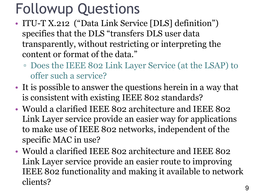## Followup Questions

- ITU-T X.212 ("Data Link Service [DLS] definition") specifies that the DLS "transfers DLS user data transparently, without restricting or interpreting the content or format of the data."
	- Does the IEEE 802 Link Layer Service (at the LSAP) to offer such a service?
- It is possible to answer the questions herein in a way that is consistent with existing IEEE 802 standards?
- Would a clarified IEEE 802 architecture and IEEE 802 Link Layer service provide an easier way for applications to make use of IEEE 802 networks, independent of the specific MAC in use?
- Would a clarified IEEE 802 architecture and IEEE 802 Link Layer service provide an easier route to improving IEEE 802 functionality and making it available to network clients?